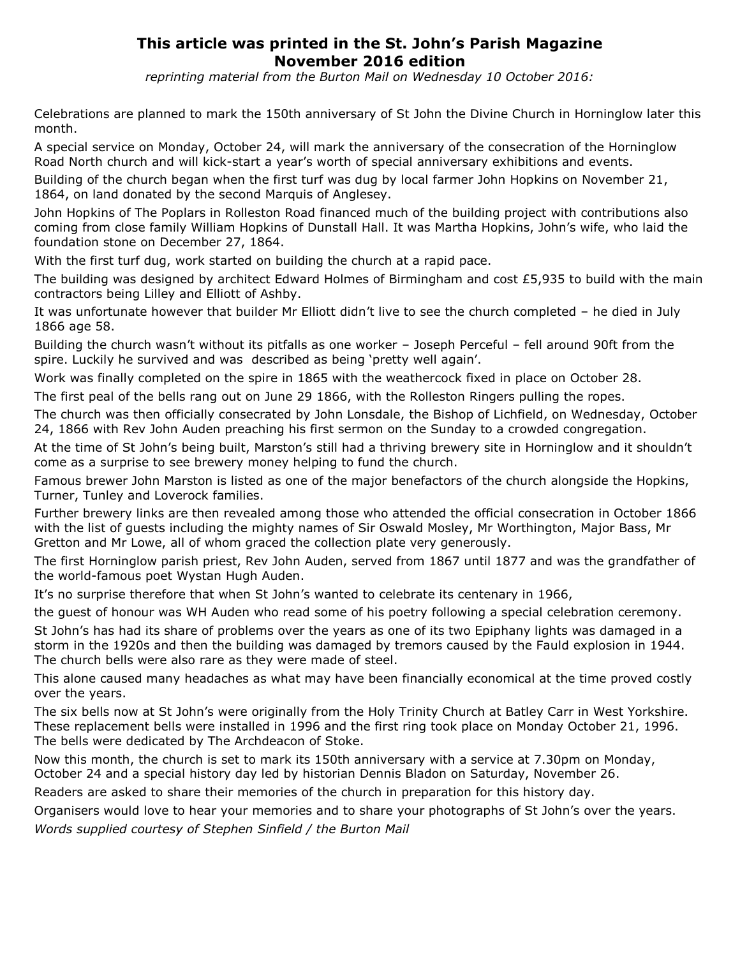## **This article was printed in the St. John's Parish Magazine November 2016 edition**

*reprinting material from the Burton Mail on Wednesday 10 October 2016:*

Celebrations are planned to mark the 150th anniversary of St John the Divine Church in Horninglow later this month.

A special service on Monday, October 24, will mark the anniversary of the consecration of the Horninglow Road North church and will kick-start a year's worth of special anniversary exhibitions and events.

Building of the church began when the first turf was dug by local farmer John Hopkins on November 21, 1864, on land donated by the second Marquis of Anglesey.

John Hopkins of The Poplars in Rolleston Road financed much of the building project with contributions also coming from close family William Hopkins of Dunstall Hall. It was Martha Hopkins, John's wife, who laid the foundation stone on December 27, 1864.

With the first turf dug, work started on building the church at a rapid pace.

The building was designed by architect Edward Holmes of Birmingham and cost £5,935 to build with the main contractors being Lilley and Elliott of Ashby.

It was unfortunate however that builder Mr Elliott didn't live to see the church completed – he died in July 1866 age 58.

Building the church wasn't without its pitfalls as one worker – Joseph Perceful – fell around 90ft from the spire. Luckily he survived and was described as being 'pretty well again'.

Work was finally completed on the spire in 1865 with the weathercock fixed in place on October 28.

The first peal of the bells rang out on June 29 1866, with the Rolleston Ringers pulling the ropes.

The church was then officially consecrated by John Lonsdale, the Bishop of Lichfield, on Wednesday, October 24, 1866 with Rev John Auden preaching his first sermon on the Sunday to a crowded congregation.

At the time of St John's being built, Marston's still had a thriving brewery site in Horninglow and it shouldn't come as a surprise to see brewery money helping to fund the church.

Famous brewer John Marston is listed as one of the major benefactors of the church alongside the Hopkins, Turner, Tunley and Loverock families.

Further brewery links are then revealed among those who attended the official consecration in October 1866 with the list of guests including the mighty names of Sir Oswald Mosley, Mr Worthington, Major Bass, Mr Gretton and Mr Lowe, all of whom graced the collection plate very generously.

The first Horninglow parish priest, Rev John Auden, served from 1867 until 1877 and was the grandfather of the world-famous poet Wystan Hugh Auden.

It's no surprise therefore that when St John's wanted to celebrate its centenary in 1966,

the guest of honour was WH Auden who read some of his poetry following a special celebration ceremony.

St John's has had its share of problems over the years as one of its two Epiphany lights was damaged in a storm in the 1920s and then the building was damaged by tremors caused by the Fauld explosion in 1944. The church bells were also rare as they were made of steel.

This alone caused many headaches as what may have been financially economical at the time proved costly over the years.

The six bells now at St John's were originally from the Holy Trinity Church at Batley Carr in West Yorkshire. These replacement bells were installed in 1996 and the first ring took place on Monday October 21, 1996. The bells were dedicated by The Archdeacon of Stoke.

Now this month, the church is set to mark its 150th anniversary with a service at 7.30pm on Monday, October 24 and a special history day led by historian Dennis Bladon on Saturday, November 26.

Readers are asked to share their memories of the church in preparation for this history day.

Organisers would love to hear your memories and to share your photographs of St John's over the years.

*Words supplied courtesy of Stephen Sinfield / the Burton Mail*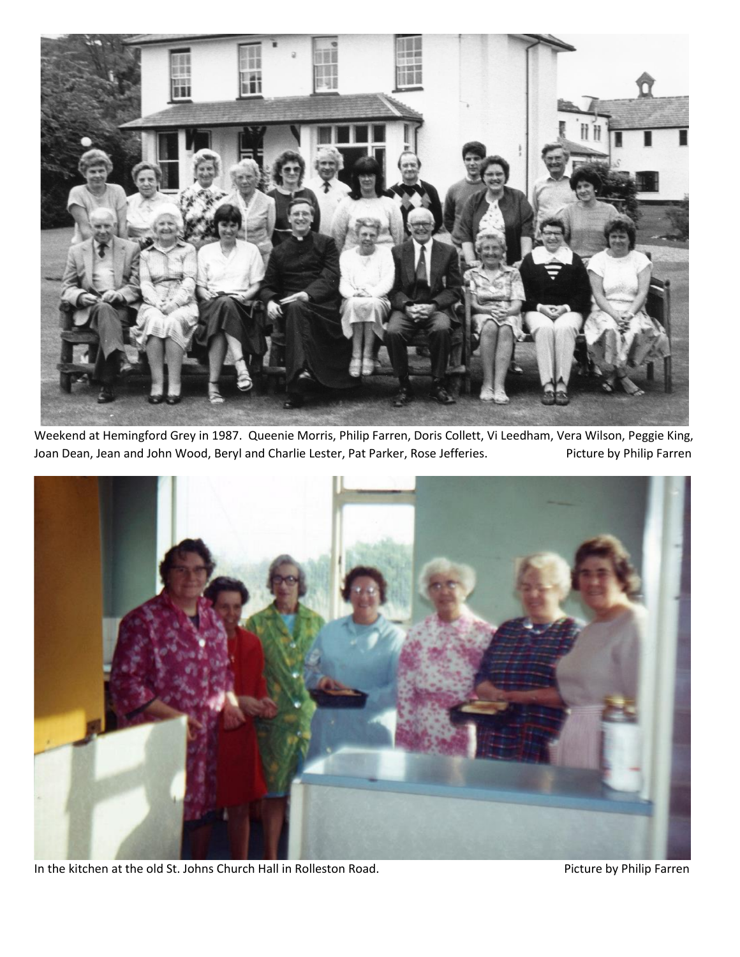

Weekend at Hemingford Grey in 1987. Queenie Morris, Philip Farren, Doris Collett, Vi Leedham, Vera Wilson, Peggie King, Joan Dean, Jean and John Wood, Beryl and Charlie Lester, Pat Parker, Rose Jefferies. Picture by Philip Farren



In the kitchen at the old St. Johns Church Hall in Rolleston Road. Picture by Philip Farren